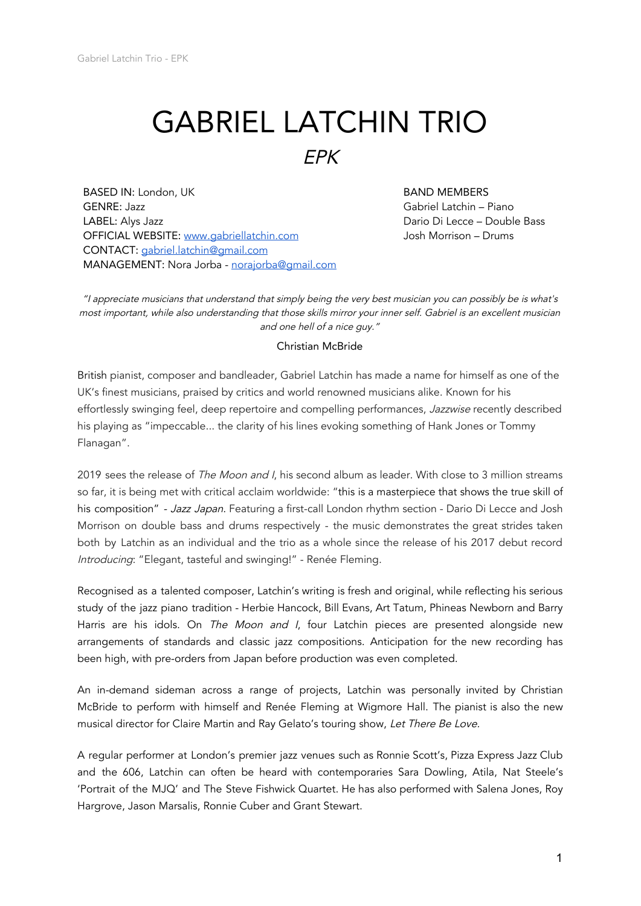## GABRIEL LATCHIN TRIO

EPK

BASED IN: London, UK GENRE: Jazz LABEL: Alys Jazz OFFICIAL WEBSITE: [www.gabriellatchin.com](http://www.gabriellatchin.com/) CONTACT: [gabriel.latchin@gmail.com](mailto:gabriel.latchin@gmail.com) MANAGEMENT: Nora Jorba - [norajorba@gmail.com](mailto:norajorba@gmail.com)

BAND MEMBERS Gabriel Latchin – Piano Dario Di Lecce – Double Bass Josh Morrison – Drums

"I appreciate musicians that understand that simply being the very best musician you can possibly be is what's most important, while also understanding that those skills mirror your inner self. Gabriel is an excellent musician and one hell of <sup>a</sup> nice guy."

## Christian McBride

British pianist, composer and bandleader, Gabriel Latchin has made a name for himself as one of the UK's finest musicians, praised by critics and world renowned musicians alike. Known for his effortlessly swinging feel, deep repertoire and compelling performances, Jazzwise recently described his playing as "impeccable... the clarity of his lines evoking something of Hank Jones or Tommy Flanagan".

2019 sees the release of The Moon and I, his second album as leader. With close to 3 million streams so far, it is being met with critical acclaim worldwide: "this is a masterpiece that shows the true skill of his composition" - Jazz Japan. Featuring a first-call London rhythm section - Dario Di Lecce and Josh Morrison on double bass and drums respectively - the music demonstrates the great strides taken both by Latchin as an individual and the trio as a whole since the release of his 2017 debut record Introducing: "Elegant, tasteful and swinging!" - Renée Fleming.

Recognised as a talented composer, Latchin's writing is fresh and original, while reflecting his serious study of the jazz piano tradition - Herbie Hancock, Bill Evans, Art Tatum, Phineas Newborn and Barry Harris are his idols. On The Moon and I, four Latchin pieces are presented alongside new arrangements of standards and classic jazz compositions. Anticipation for the new recording has been high, with pre-orders from Japan before production was even completed.

An in-demand sideman across a range of projects, Latchin was personally invited by Christian McBride to perform with himself and Renée Fleming at Wigmore Hall. The pianist is also the new musical director for Claire Martin and Ray Gelato's touring show, Let There Be Love.

A regular performer at London's premier jazz venues such as Ronnie Scott's, Pizza Express Jazz Club and the 606, Latchin can often be heard with contemporaries Sara Dowling, Atila, Nat Steele's 'Portrait of the MJQ' and The Steve Fishwick Quartet. He has also performed with Salena Jones, Roy Hargrove, Jason Marsalis, Ronnie Cuber and Grant Stewart.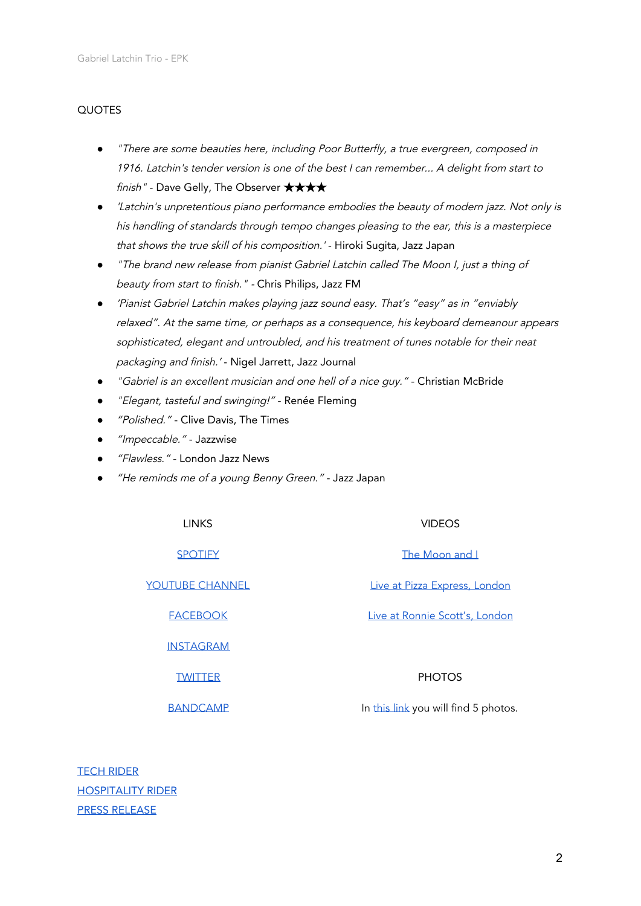## QUOTES

- "There are some beauties here, including Poor Butterfly, <sup>a</sup> true evergreen, composed in 1916. Latchin's tender version is one of the best I can remember... A delight from start to finish" - Dave Gelly, The Observer **★★★★**
- 'Latchin's unpretentious piano performance embodies the beauty of modern jazz. Not only is his handling of standards through tempo changes pleasing to the ear, this is <sup>a</sup> masterpiece that shows the true skill of his composition.' - Hiroki Sugita, Jazz Japan
- "The brand new release from pianist Gabriel Latchin called The Moon I, just <sup>a</sup> thing of beauty from start to finish." - Chris Philips, Jazz FM
- 'Pianist Gabriel Latchin makes playing jazz sound easy. That's "easy" as in "enviably relaxed". At the same time, or perhaps as <sup>a</sup> consequence, his keyboard demeanour appears sophisticated, elegant and untroubled, and his treatment of tunes notable for their neat packaging and finish.' - Nigel Jarrett, Jazz Journal
- "Gabriel is an excellent musician and one hell of <sup>a</sup> nice guy." Christian McBride
- "Elegant, tasteful and swinging!" Renée Fleming
- *"Polished."* Clive Davis, The Times
- "Impeccable." Jazzwise
- "Flawless." London Jazz News
- "He reminds me of a young Benny Green." Jazz Japan

LINKS VIDEOS

[INSTAGRAM](https://www.instagram.com/gabriellatchin/)

[TWITTER](https://twitter.com/GabrielLatchin) **PHOTOS** 

[SPOTIFY](https://spoti.fi/2OP3DeR) The [Moon](https://www.youtube.com/watch?v=vcBoBnIbB-k&t=17s) and I

YOUTUBE [CHANNEL](https://www.youtube.com/user/gabriellat) **Live at Pizza [Express,](https://www.youtube.com/watch?v=9o1UDlvgfKI) London** 

[FACEBOOK](https://www.facebook.com/GabrielLatchin/) Live at Ronnie Scott's, [London](https://www.youtube.com/watch?v=KYZgk9SMDvc)

[BANDCAMP](https://gabriellatchin.bandcamp.com/releases) **In this [link](https://drive.google.com/drive/folders/1p167_7MH6GfVx2f0eHQbmyVDmbj350SP?usp=sharing) you will find 5 photos.** 

TECH [RIDER](https://docs.google.com/document/d/1oGGApJQCaFkywoZnFaRade_aNIKzF4NAGZcqzKCPg-M/edit?usp=sharing) [HOSPITALITY](https://docs.google.com/document/d/1M7JNgtqXu4OzRL-qIMof4dWC7YC3XxSwU0ejBE3JlIM/edit?usp=sharing) RIDER PRESS [RELEASE](https://docs.google.com/document/d/1-yeKjfgOVz9DHMQFS4Mh0J3vpJ-k3j2aErDQLR8JSOk/edit?usp=sharing)